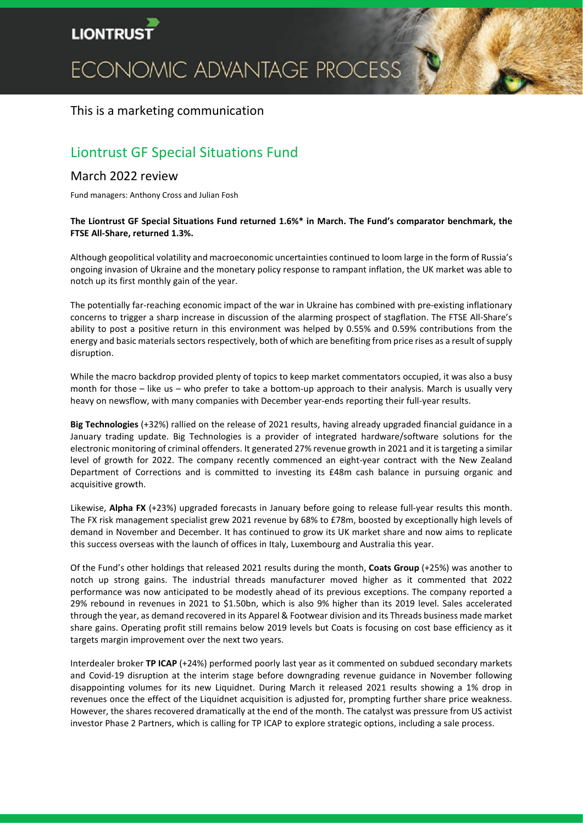# **LIONTRU**

# ECONOMIC ADVANTAGE PROCESS

## This is a marketing communication

# Liontrust GF Special Situations Fund

### March 2022 review

Fund managers: Anthony Cross and Julian Fosh

#### **The Liontrust GF Special Situations Fund returned 1.6%\* in March. The Fund's comparator benchmark, the FTSE All-Share, returned 1.3%.**

Although geopolitical volatility and macroeconomic uncertainties continued to loom large in the form of Russia's ongoing invasion of Ukraine and the monetary policy response to rampant inflation, the UK market was able to notch up its first monthly gain of the year.

The potentially far-reaching economic impact of the war in Ukraine has combined with pre-existing inflationary concerns to trigger a sharp increase in discussion of the alarming prospect of stagflation. The FTSE All-Share's ability to post a positive return in this environment was helped by 0.55% and 0.59% contributions from the energy and basic materials sectors respectively, both of which are benefiting from price rises as a result of supply disruption.

While the macro backdrop provided plenty of topics to keep market commentators occupied, it was also a busy month for those – like us – who prefer to take a bottom-up approach to their analysis. March is usually very heavy on newsflow, with many companies with December year-ends reporting their full-year results.

**Big Technologies** (+32%) rallied on the release of 2021 results, having already upgraded financial guidance in a January trading update. Big Technologies is a provider of integrated hardware/software solutions for the electronic monitoring of criminal offenders. It generated 27% revenue growth in 2021 and it is targeting a similar level of growth for 2022. The company recently commenced an eight-year contract with the New Zealand Department of Corrections and is committed to investing its £48m cash balance in pursuing organic and acquisitive growth.

Likewise, **Alpha FX** (+23%) upgraded forecasts in January before going to release full-year results this month. The FX risk management specialist grew 2021 revenue by 68% to £78m, boosted by exceptionally high levels of demand in November and December. It has continued to grow its UK market share and now aims to replicate this success overseas with the launch of offices in Italy, Luxembourg and Australia this year.

Of the Fund's other holdings that released 2021 results during the month, **Coats Group** (+25%) was another to notch up strong gains. The industrial threads manufacturer moved higher as it commented that 2022 performance was now anticipated to be modestly ahead of its previous exceptions. The company reported a 29% rebound in revenues in 2021 to \$1.50bn, which is also 9% higher than its 2019 level. Sales accelerated through the year, as demand recovered in its Apparel & Footwear division and its Threads business made market share gains. Operating profit still remains below 2019 levels but Coats is focusing on cost base efficiency as it targets margin improvement over the next two years.

Interdealer broker **TP ICAP** (+24%) performed poorly last year as it commented on subdued secondary markets and Covid-19 disruption at the interim stage before downgrading revenue guidance in November following disappointing volumes for its new Liquidnet. During March it released 2021 results showing a 1% drop in revenues once the effect of the Liquidnet acquisition is adjusted for, prompting further share price weakness. However, the shares recovered dramatically at the end of the month. The catalyst was pressure from US activist investor Phase 2 Partners, which is calling for TP ICAP to explore strategic options, including a sale process.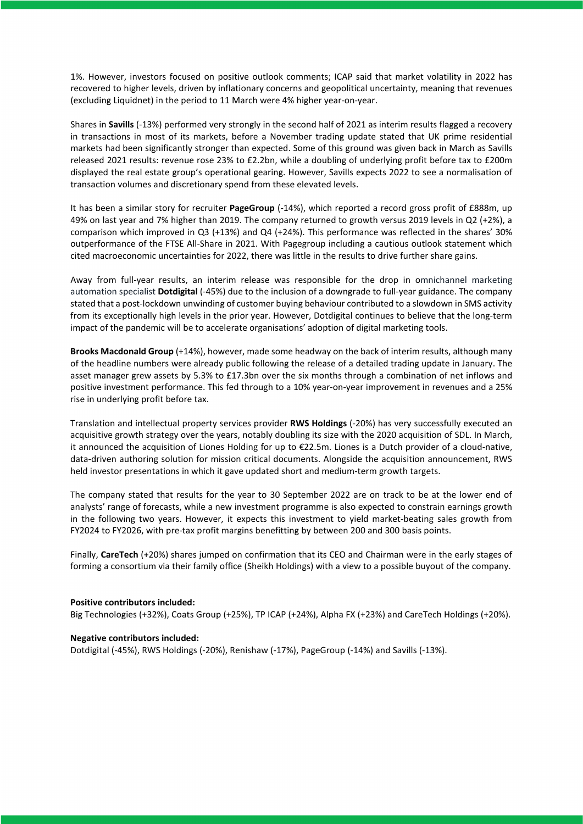1%. However, investors focused on positive outlook comments; ICAP said that market volatility in 2022 has recovered to higher levels, driven by inflationary concerns and geopolitical uncertainty, meaning that revenues (excluding Liquidnet) in the period to 11 March were 4% higher year-on-year.

Shares in **Savills** (-13%) performed very strongly in the second half of 2021 as interim results flagged a recovery in transactions in most of its markets, before a November trading update stated that UK prime residential markets had been significantly stronger than expected. Some of this ground was given back in March as Savills released 2021 results: revenue rose 23% to £2.2bn, while a doubling of underlying profit before tax to £200m displayed the real estate group's operational gearing. However, Savills expects 2022 to see a normalisation of transaction volumes and discretionary spend from these elevated levels.

It has been a similar story for recruiter **PageGroup** (-14%), which reported a record gross profit of £888m, up 49% on last year and 7% higher than 2019. The company returned to growth versus 2019 levels in Q2 (+2%), a comparison which improved in Q3 (+13%) and Q4 (+24%). This performance was reflected in the shares' 30% outperformance of the FTSE All-Share in 2021. With Pagegroup including a cautious outlook statement which cited macroeconomic uncertainties for 2022, there was little in the results to drive further share gains.

Away from full-year results, an interim release was responsible for the drop in omnichannel marketing automation specialist **Dotdigital** (-45%) due to the inclusion of a downgrade to full-year guidance. The company stated that a post-lockdown unwinding of customer buying behaviour contributed to a slowdown in SMS activity from its exceptionally high levels in the prior year. However, Dotdigital continues to believe that the long-term impact of the pandemic will be to accelerate organisations' adoption of digital marketing tools.

**Brooks Macdonald Group** (+14%), however, made some headway on the back of interim results, although many of the headline numbers were already public following the release of a detailed trading update in January. The asset manager grew assets by 5.3% to £17.3bn over the six months through a combination of net inflows and positive investment performance. This fed through to a 10% year-on-year improvement in revenues and a 25% rise in underlying profit before tax.

Translation and intellectual property services provider **RWS Holdings** (-20%) has very successfully executed an acquisitive growth strategy over the years, notably doubling its size with the 2020 acquisition of SDL. In March, it announced the acquisition of Liones Holding for up to €22.5m. Liones is a Dutch provider of a cloud-native, data-driven authoring solution for mission critical documents. Alongside the acquisition announcement, RWS held investor presentations in which it gave updated short and medium-term growth targets.

The company stated that results for the year to 30 September 2022 are on track to be at the lower end of analysts' range of forecasts, while a new investment programme is also expected to constrain earnings growth in the following two years. However, it expects this investment to yield market-beating sales growth from FY2024 to FY2026, with pre-tax profit margins benefitting by between 200 and 300 basis points.

Finally, **CareTech** (+20%) shares jumped on confirmation that its CEO and Chairman were in the early stages of forming a consortium via their family office (Sheikh Holdings) with a view to a possible buyout of the company.

#### **Positive contributors included:**

Big Technologies (+32%), Coats Group (+25%), TP ICAP (+24%), Alpha FX (+23%) and CareTech Holdings (+20%).

#### **Negative contributors included:**

Dotdigital (-45%), RWS Holdings (-20%), Renishaw (-17%), PageGroup (-14%) and Savills (-13%).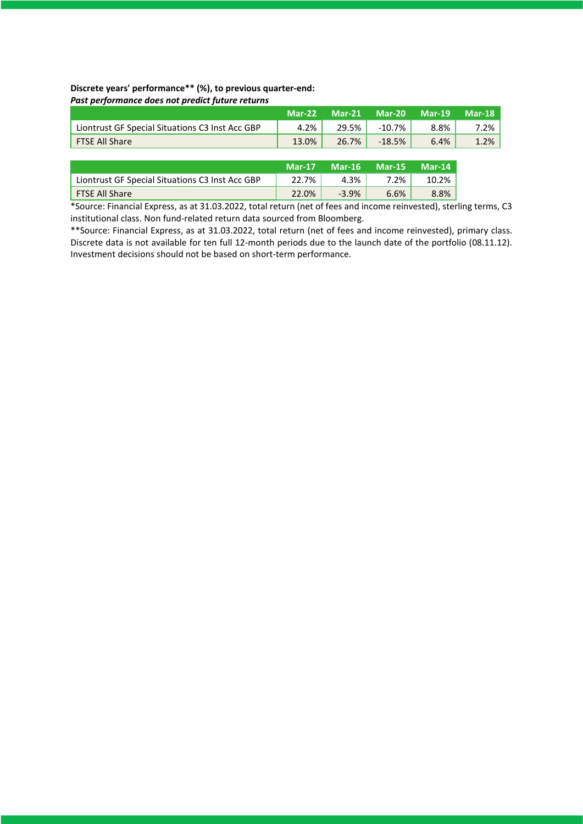#### **Discrete years' performance\*\* (%), to previous quarter-end:** *Past performance does not predict future returns*

|                                                 | <b>Mar-22</b> | <b>Mar-21</b> | Mar-20    | Mar-19 | Mar-18 |
|-------------------------------------------------|---------------|---------------|-----------|--------|--------|
| Liontrust GF Special Situations C3 Inst Acc GBP | 4.2%          | 29.5%         | $-10.7\%$ | 8.8%   | 7.2%   |
| FTSE All Share                                  | 13.0%         | $26.7\%$      | $-18.5%$  | 6.4%   | 1.2%   |

|                                                 | $Mar-17$ | Mar-16  | $Mar-15$ | Mar-14 |
|-------------------------------------------------|----------|---------|----------|--------|
| Liontrust GF Special Situations C3 Inst Acc GBP | 22.7%    | 4.3%    | 7.2%     | 10.2%  |
| FTSE All Share                                  | 22.0%    | $-3.9%$ | 6.6%     | 8.8%   |

\*Source: Financial Express, as at 31.03.2022, total return (net of fees and income reinvested), sterling terms, C3 institutional class. Non fund-related return data sourced from Bloomberg.

\*\*Source: Financial Express, as at 31.03.2022, total return (net of fees and income reinvested), primary class. Discrete data is not available for ten full 12-month periods due to the launch date of the portfolio (08.11.12). Investment decisions should not be based on short-term performance.